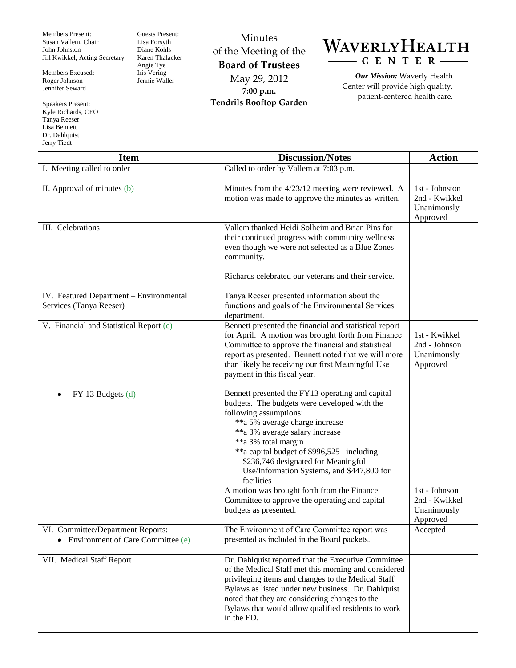Members Present: Susan Vallem, Chair John Johnston Jill Kwikkel, Acting Secretary

Members Excused: Roger Johnson Jennifer Seward

Speakers Present: Kyle Richards, CEO Tanya Reeser Lisa Bennett Dr. Dahlquist Jerry Tiedt

Guests Present: Lisa Forsyth Diane Kohls Karen Thalacker Angie Tye Iris Vering Jennie Waller

Minutes of the Meeting of the **Board of Trustees** May 29, 2012 **7:00 p.m. Tendrils Rooftop Garden**

## WAVERLYHEALTH - CENTER-

*Our Mission:* Waverly Health Center will provide high quality, patient-centered health care.

| <b>Item</b>                                                                | <b>Discussion/Notes</b>                                                                                                                                                                                                                                                                                                                                                                                                                                                                          | <b>Action</b>                                              |
|----------------------------------------------------------------------------|--------------------------------------------------------------------------------------------------------------------------------------------------------------------------------------------------------------------------------------------------------------------------------------------------------------------------------------------------------------------------------------------------------------------------------------------------------------------------------------------------|------------------------------------------------------------|
| I. Meeting called to order                                                 | Called to order by Vallem at 7:03 p.m.                                                                                                                                                                                                                                                                                                                                                                                                                                                           |                                                            |
| II. Approval of minutes (b)                                                | Minutes from the 4/23/12 meeting were reviewed. A<br>motion was made to approve the minutes as written.                                                                                                                                                                                                                                                                                                                                                                                          | 1st - Johnston<br>2nd - Kwikkel<br>Unanimously<br>Approved |
| III. Celebrations                                                          | Vallem thanked Heidi Solheim and Brian Pins for<br>their continued progress with community wellness<br>even though we were not selected as a Blue Zones<br>community.<br>Richards celebrated our veterans and their service.                                                                                                                                                                                                                                                                     |                                                            |
| IV. Featured Department - Environmental<br>Services (Tanya Reeser)         | Tanya Reeser presented information about the<br>functions and goals of the Environmental Services<br>department.                                                                                                                                                                                                                                                                                                                                                                                 |                                                            |
| V. Financial and Statistical Report (c)                                    | Bennett presented the financial and statistical report<br>for April. A motion was brought forth from Finance<br>Committee to approve the financial and statistical<br>report as presented. Bennett noted that we will more<br>than likely be receiving our first Meaningful Use<br>payment in this fiscal year.                                                                                                                                                                                  | 1st - Kwikkel<br>2nd - Johnson<br>Unanimously<br>Approved  |
| FY 13 Budgets (d)                                                          | Bennett presented the FY13 operating and capital<br>budgets. The budgets were developed with the<br>following assumptions:<br>**a 5% average charge increase<br>**a 3% average salary increase<br>**a 3% total margin<br>**a capital budget of \$996,525– including<br>\$236,746 designated for Meaningful<br>Use/Information Systems, and \$447,800 for<br>facilities<br>A motion was brought forth from the Finance<br>Committee to approve the operating and capital<br>budgets as presented. | 1st - Johnson<br>2nd - Kwikkel<br>Unanimously              |
|                                                                            |                                                                                                                                                                                                                                                                                                                                                                                                                                                                                                  | Approved                                                   |
| VI. Committee/Department Reports:<br>• Environment of Care Committee $(e)$ | The Environment of Care Committee report was<br>presented as included in the Board packets.                                                                                                                                                                                                                                                                                                                                                                                                      | Accepted                                                   |
| VII. Medical Staff Report                                                  | Dr. Dahlquist reported that the Executive Committee<br>of the Medical Staff met this morning and considered<br>privileging items and changes to the Medical Staff<br>Bylaws as listed under new business. Dr. Dahlquist<br>noted that they are considering changes to the<br>Bylaws that would allow qualified residents to work<br>in the ED.                                                                                                                                                   |                                                            |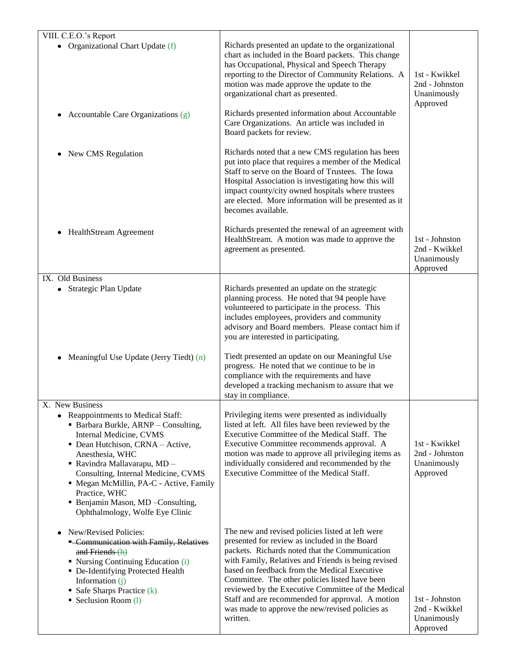| VIII. C.E.O.'s Report                                                                                                                                                                                                                                                                                                                                                                    |                                                                                                                                                                                                                                                                                                                                                                                                                                                                                       |                                                            |
|------------------------------------------------------------------------------------------------------------------------------------------------------------------------------------------------------------------------------------------------------------------------------------------------------------------------------------------------------------------------------------------|---------------------------------------------------------------------------------------------------------------------------------------------------------------------------------------------------------------------------------------------------------------------------------------------------------------------------------------------------------------------------------------------------------------------------------------------------------------------------------------|------------------------------------------------------------|
| • Organizational Chart Update (f)                                                                                                                                                                                                                                                                                                                                                        | Richards presented an update to the organizational<br>chart as included in the Board packets. This change<br>has Occupational, Physical and Speech Therapy<br>reporting to the Director of Community Relations. A<br>motion was made approve the update to the<br>organizational chart as presented.                                                                                                                                                                                  | 1st - Kwikkel<br>2nd - Johnston<br>Unanimously<br>Approved |
| Accountable Care Organizations (g)                                                                                                                                                                                                                                                                                                                                                       | Richards presented information about Accountable<br>Care Organizations. An article was included in<br>Board packets for review.                                                                                                                                                                                                                                                                                                                                                       |                                                            |
| New CMS Regulation<br>٠                                                                                                                                                                                                                                                                                                                                                                  | Richards noted that a new CMS regulation has been<br>put into place that requires a member of the Medical<br>Staff to serve on the Board of Trustees. The Iowa<br>Hospital Association is investigating how this will<br>impact county/city owned hospitals where trustees<br>are elected. More information will be presented as it<br>becomes available.                                                                                                                             |                                                            |
| HealthStream Agreement<br>٠                                                                                                                                                                                                                                                                                                                                                              | Richards presented the renewal of an agreement with<br>HealthStream. A motion was made to approve the<br>agreement as presented.                                                                                                                                                                                                                                                                                                                                                      | 1st - Johnston<br>2nd - Kwikkel<br>Unanimously<br>Approved |
| IX. Old Business<br>Strategic Plan Update                                                                                                                                                                                                                                                                                                                                                | Richards presented an update on the strategic<br>planning process. He noted that 94 people have<br>volunteered to participate in the process. This<br>includes employees, providers and community<br>advisory and Board members. Please contact him if<br>you are interested in participating.                                                                                                                                                                                        |                                                            |
| Meaningful Use Update (Jerry Tiedt) (n)                                                                                                                                                                                                                                                                                                                                                  | Tiedt presented an update on our Meaningful Use<br>progress. He noted that we continue to be in<br>compliance with the requirements and have<br>developed a tracking mechanism to assure that we<br>stay in compliance.                                                                                                                                                                                                                                                               |                                                            |
| X. New Business<br>Reappointments to Medical Staff:<br>• Barbara Burkle, ARNP - Consulting,<br>Internal Medicine, CVMS<br>• Dean Hutchison, CRNA - Active,<br>Anesthesia, WHC<br>■ Ravindra Mallavarapu, MD -<br>Consulting, Internal Medicine, CVMS<br>• Megan McMillin, PA-C - Active, Family<br>Practice, WHC<br>• Benjamin Mason, MD -Consulting,<br>Ophthalmology, Wolfe Eye Clinic | Privileging items were presented as individually<br>listed at left. All files have been reviewed by the<br>Executive Committee of the Medical Staff. The<br>Executive Committee recommends approval. A<br>motion was made to approve all privileging items as<br>individually considered and recommended by the<br>Executive Committee of the Medical Staff.                                                                                                                          | 1st - Kwikkel<br>2nd - Johnston<br>Unanimously<br>Approved |
| New/Revised Policies:<br>٠<br><b>• Communication with Family, Relatives</b><br>and Friends (h)<br>• Nursing Continuing Education (i)<br>• De-Identifying Protected Health<br>Information (j)<br>• Safe Sharps Practice $(k)$<br>• Seclusion Room (1)                                                                                                                                     | The new and revised policies listed at left were<br>presented for review as included in the Board<br>packets. Richards noted that the Communication<br>with Family, Relatives and Friends is being revised<br>based on feedback from the Medical Executive<br>Committee. The other policies listed have been<br>reviewed by the Executive Committee of the Medical<br>Staff and are recommended for approval. A motion<br>was made to approve the new/revised policies as<br>written. | 1st - Johnston<br>2nd - Kwikkel<br>Unanimously<br>Approved |